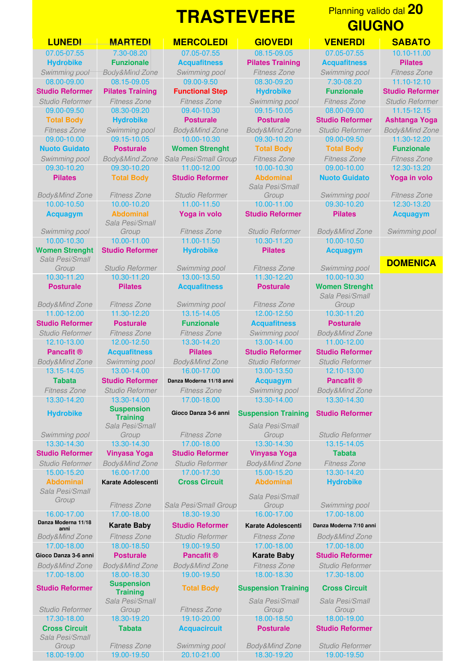*Body&Mind Zone Fitness Zone Studio Reformer Swimming pool Sala Pesi/Small* **Pancafit ® Acquafitness Pilates Studio Reformer Studio Reformer** *Body&Mind Zone Swimming pool Body&Mind Zone Studio Reformer Studio Reformer* **Tabata Studio Reformer Danza Moderna 11/18 anni Acquagym Pancafit ®** *Fitness Zone Studio Reformer Fitness Zone Swimming pool Body&Mind Zone* 13.30-14.20 13.30-14.00 17.00-18.00 13.30-14.00 13.30-14.30 **Hydrobike** *Swimming pool* 13.30-14.30 13.30-14.30 17.00-18.00 13.30-14.30 13.15-14.05 **Studio Reformer Vinyasa Yoga Studio Reformer Vinyasa Yoga Tabata** *Studio Reformer Body&Mind Zone Studio Reformer Body&Mind Zone Fitness Zone* 15.00-15.20 16.00-17.00 17.00-17.30 15.00-15.20 13.30-14.20 **Abdominal Karate Adolescenti Cross Circuit Abdominal Hydrobike** *Sala Pesi/Small Group Fitness Zone Sala Pesi/Small Group* 16.00-17.00 17.00-18.00 18.30-19.30 16.00-17.00 17.00-18.00 **Danza Moderna 11/18** *Body&Mind Zone Fitness Zone Studio Reformer Fitness Zone Body&Mind Zone* 17.00-18.00 18.00-18.50 19.00-19.50 17.00-18.00 17.00-18.00 **Gioco Danza 3-6 anni Posturale Pancafit ® Karate Baby Studio Reformer** *Body&Mind Zone Body&Mind Zone Body&Mind Zone Fitness Zone Studio Reformer* 17.00-18.00 18.00-18.30 19.00-19.50 18.00-18.30 17.30-18.00 **Studio Reformer** *Studio Reformer* 17.30-18.00 18.30-19.20 19.10-20.00 18.00-18.50 18.00-19.00 **Cross Circuit Tabata Acquacircuit Posturale Studio Reformer** *Sala Pesi/Small*

*Sala Pesi/Small* **Suspension Training** *Sala Pesi/Small Group Fitness Zone* **Suspension Training** *Sala Pesi/Small Group Fitness Zone Group Fitness Zone Swimming pool Body&Mind Zone Studio Reformer*

## **TRASTEVERE LUNEDI MARTEDI MERCOLEDI GIOVEDI VENERDI SABATO** 07.05-07.55 7.30-08.20 07.05-07.55 08.15-09.05 07.05-07.55 10.10-11.00 **Hydrobike Funzionale Acquafitness Pilates Training Acquafitness Pilates** 10.00-10.30 10.00-11.00 11.00-11.50 10.30-11.20 10.00-10.50 **Women Strenght Studio Reformer Hydrobike Pilates Acquagym** 10.30-11.20 10.30-11.20 13.00-13.50 11.30-12.20 10.00-10.30 **Posturale Pilates Acquafitness Posturale Women Strenght** *Body&Mind Zone Fitness Zone Swimming pool Fitness Zone* 11.00-12.00 11.30-12.20 13.15-14.05 12.00-12.50 10.30-11.20 **Studio Reformer Posturale Funzionale Acquafitness Posturale** *Studio Reformer Fitness Zone Fitness Zone Swimming pool Body&Mind Zone* 12.10-13.00 12.00-12.50 13.30-14.20 13.00-14.00 11.00-12.00

**Gioco Danza 3-6 anni Suspension Training Studio Reformer**

**Karate Baby Studio Reformer Karate Adolescenti Danza Moderna 7/10 anni**<br>Fitness Zone Studio Reformer Fitness Zone Bodv&Mind Zone

18.00-19.00 19.00-19.50 20.10-21.00 18.30-19.20 19.00-19.50

## *Sala Pesi/Small*

13.00-13.50

*Sala Pesi/Small*

*Sala Pesi/Small*

**Total Body Suspension Training Cross Circuit** *Sala Pesi/Small Group*

## Planning valido dal **20 GIUGNO**

*Swimming pool Body&Mind Zone Swimming pool Fitness Zone Swimming pool Fitness Zone* 08.00-09.00 08.15-09.05 09.00-9.50 08.30-09.20 7.30-08.20 11.10-12.10 **Studio Reformer Pilates Training Functional Step Hydrobike Funzionale Studio Reformer** *Studio Reformer Fitness Zone Fitness Zone Swimming pool Fitness Zone Studio Reformer* 09.00-09.50 08.30-09.20 09.40-10.30 09.15-10.05 08.00-09.00 11.15-12.15 **Total Body Hydrobike Posturale Posturale Studio Reformer Ashtanga Yoga** *Fitness Zone Swimming pool Body&Mind Zone Body&Mind Zone Studio Reformer Body&Mind Zone* 09.00-10.00 09.15-10.05 10.00-10.30 09.30-10.20 09.00-09.50 11.30-12.20 **Nuoto Guidato Posturale Women Strenght Total Body Total Body Funzionale** *Swimming pool Body&Mind Zone Sala Pesi/Small Group Fitness Zone Fitness Zone Fitness Zone* 09.30-10.20 09.30-10.20 11.00-12.00 10.00-10.30 09.00-10.00 12.30-13.20 **Pilates Total Body Studio Reformer Abdominal Nuoto Guidato Yoga in volo** *Group Swimming pool Fitness Zone* 10.00-10.50 10.00-10.20 11.00-11.50 10.00-11.00 09.30-10.20 12.30-13.20 **Acquagym Abdominal Yoga in volo Studio Reformer Pilates Acquagym** *Group Fitness Zone Studio Reformer Body&Mind Zone Swimming pool Group Studio Reformer Swimming pool Fitness Zone Swimming pool* **DOMENICA** *Sala Pesi/Small Group Group Studio Reformer Group Swimming pool Sala Pesi/Small Group*